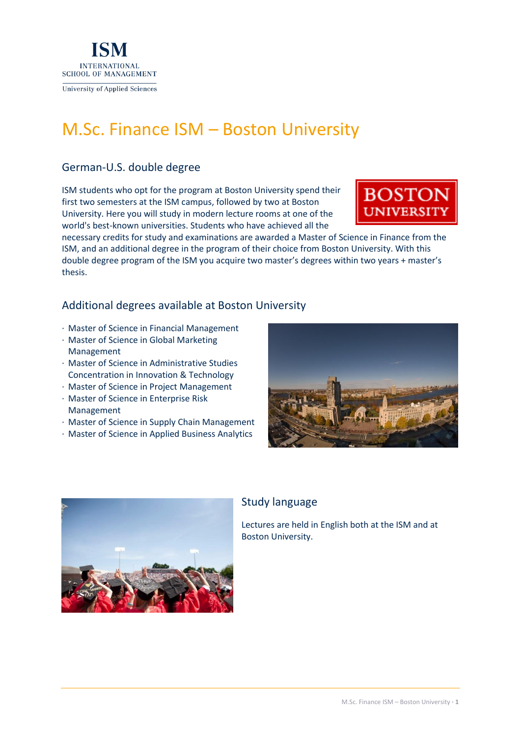

# M.Sc. Finance ISM – Boston University

# German-U.S. double degree

ISM students who opt for the program at Boston University spend their first two semesters at the ISM campus, followed by two at Boston University. Here you will study in modern lecture rooms at one of the world's best-known universities. Students who have achieved all the



necessary credits for study and examinations are awarded a Master of Science in Finance from the ISM, and an additional degree in the program of their choice from Boston University. With this double degree program of the ISM you acquire two master's degrees within two years + master's thesis.

## Additional degrees available at Boston University

- · Master of Science in Financial Management
- · Master of Science in Global Marketing Management
- · Master of Science in Administrative Studies Concentration in Innovation & Technology
- · Master of Science in Project Management
- · Master of Science in Enterprise Risk Management
- · Master of Science in Supply Chain Management
- · Master of Science in Applied Business Analytics





### Study language

Lectures are held in English both at the ISM and at Boston University.